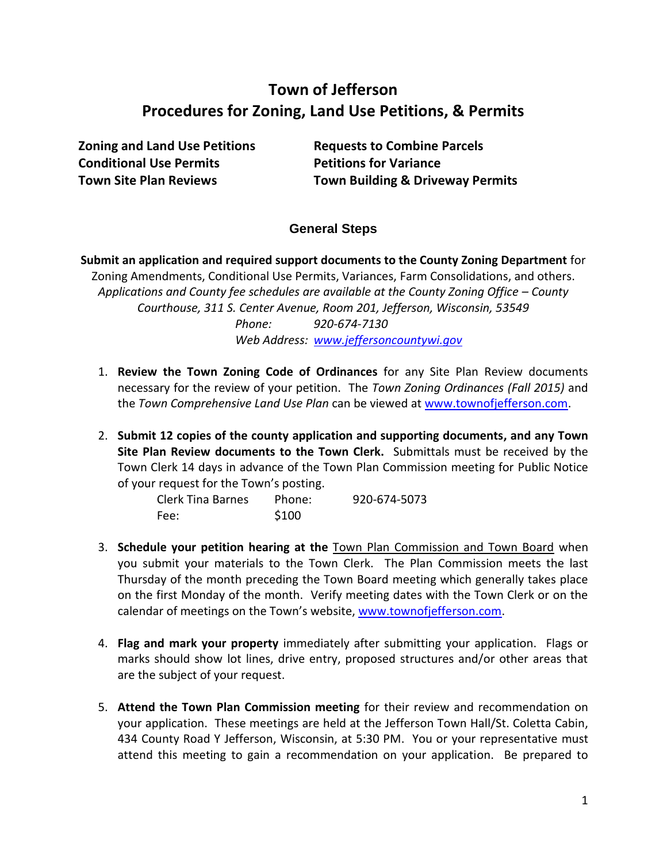# **Town of Jefferson Procedures for Zoning, Land Use Petitions, & Permits**

**Zoning and Land Use Petitions Requests to Combine Parcels Conditional Use Permits <b>Petitions for Variance** 

**Town Site Plan Reviews Town Building & Driveway Permits**

## **General Steps**

**Submit an application and required support documents to the County Zoning Department** for Zoning Amendments, Conditional Use Permits, Variances, Farm Consolidations, and others. *Applications and County fee schedules are available at the County Zoning Office – County Courthouse, 311 S. Center Avenue, Room 201, Jefferson, Wisconsin, 53549 Phone: 920-674-7130 Web Address: [www.jeffersoncountywi.gov](http://www.jeffersoncountywi.gov/)*

- 1. **Review the Town Zoning Code of Ordinances** for any Site Plan Review documents necessary for the review of your petition. The *Town Zoning Ordinances (Fall 2015)* and the *Town Comprehensive Land Use Plan* can be viewed at [www.townofjefferson.com.](http://www.townofjefferson.com/)
- 2. **Submit 12 copies of the county application and supporting documents, and any Town Site Plan Review documents to the Town Clerk.** Submittals must be received by the Town Clerk 14 days in advance of the Town Plan Commission meeting for Public Notice of your request for the Town's posting.

| Clerk Tina Barnes | Phone: | 920-674-5073 |
|-------------------|--------|--------------|
| Fee:              | \$100  |              |

- 3. **Schedule your petition hearing at the** Town Plan Commission and Town Board when you submit your materials to the Town Clerk. The Plan Commission meets the last Thursday of the month preceding the Town Board meeting which generally takes place on the first Monday of the month. Verify meeting dates with the Town Clerk or on the calendar of meetings on the Town's website, [www.townofjefferson.com.](http://www.townofjefferson.com/)
- 4. **Flag and mark your property** immediately after submitting your application. Flags or marks should show lot lines, drive entry, proposed structures and/or other areas that are the subject of your request.
- 5. **Attend the Town Plan Commission meeting** for their review and recommendation on your application. These meetings are held at the Jefferson Town Hall/St. Coletta Cabin, 434 County Road Y Jefferson, Wisconsin, at 5:30 PM. You or your representative must attend this meeting to gain a recommendation on your application. Be prepared to